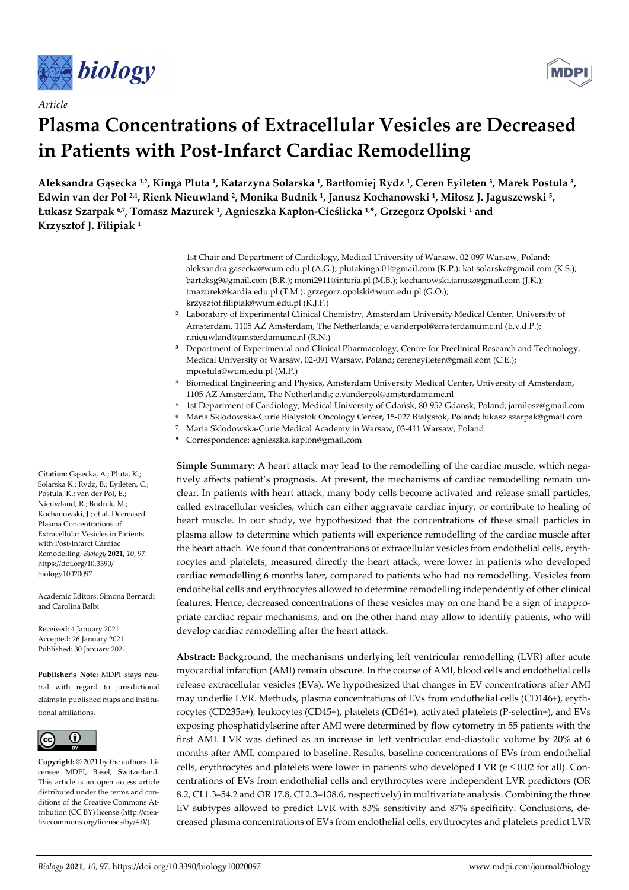





# **Plasma Concentrations of Extracellular Vesicles are Decreased in Patients with Post-Infarct Cardiac Remodelling**

**Aleksandra Gąsecka 1,2, Kinga Pluta 1, Katarzyna Solarska 1, Bartłomiej Rydz 1, Ceren Eyileten 3, Marek Postula 3, Edwin van der Pol 2,4, Rienk Nieuwland 2, Monika Budnik 1, Janusz Kochanowski 1, Miłosz J. Jaguszewski 5, Łukasz Szarpak 6,7, Tomasz Mazurek 1, Agnieszka Kapłon-Cieślicka 1,\*, Grzegorz Opolski 1 and Krzysztof J. Filipiak 1**

- <sup>1</sup> 1st Chair and Department of Cardiology, Medical University of Warsaw, 02-097 Warsaw, Poland; aleksandra.gasecka@wum.edu.pl (A.G.); plutakinga.01@gmail.com (K.P.); kat.solarska@gmail.com (K.S.); barteksg9@gmail.com (B.R.); moni2911@interia.pl (M.B.); kochanowski.janusz@gmail.com (J.K.); tmazurek@kardia.edu.pl (T.M.); grzegorz.opolski@wum.edu.pl (G.O.); krzysztof.filipiak@wum.edu.pl (K.J.F.)
- 2 Laboratory of Experimental Clinical Chemistry, Amsterdam University Medical Center, University of Amsterdam, 1105 AZ Amsterdam, The Netherlands; e.vanderpol@amsterdamumc.nl (E.v.d.P.); r.nieuwland@amsterdamumc.nl (R.N.)
- **<sup>3</sup>** Department of Experimental and Clinical Pharmacology, Centre for Preclinical Research and Technology, Medical University of Warsaw, 02-091 Warsaw, Poland; cereneyileten@gmail.com (C.E.); mpostula@wum.edu.pl (M.P.)
- 4 Biomedical Engineering and Physics, Amsterdam University Medical Center, University of Amsterdam, 1105 AZ Amsterdam, The Netherlands; e.vanderpol@amsterdamumc.nl
- 5 1st Department of Cardiology, Medical University of Gdańsk, 80-952 Gdansk, Poland; jamilosz@gmail.com
- 6 Maria Sklodowska-Curie Bialystok Oncology Center, 15-027 Bialystok, Poland; lukasz.szarpak@gmail.com
- 7 Maria Sklodowska-Curie Medical Academy in Warsaw, 03-411 Warsaw, Poland
- **\*** Correspondence: agnieszka.kaplon@gmail.com

**Simple Summary:** A heart attack may lead to the remodelling of the cardiac muscle, which negatively affects patient's prognosis. At present, the mechanisms of cardiac remodelling remain unclear. In patients with heart attack, many body cells become activated and release small particles, called extracellular vesicles, which can either aggravate cardiac injury, or contribute to healing of heart muscle. In our study, we hypothesized that the concentrations of these small particles in plasma allow to determine which patients will experience remodelling of the cardiac muscle after the heart attach. We found that concentrations of extracellular vesicles from endothelial cells, erythrocytes and platelets, measured directly the heart attack, were lower in patients who developed cardiac remodelling 6 months later, compared to patients who had no remodelling. Vesicles from endothelial cells and erythrocytes allowed to determine remodelling independently of other clinical features. Hence, decreased concentrations of these vesicles may on one hand be a sign of inappropriate cardiac repair mechanisms, and on the other hand may allow to identify patients, who will develop cardiac remodelling after the heart attack.

**Abstract:** Background, the mechanisms underlying left ventricular remodelling (LVR) after acute myocardial infarction (AMI) remain obscure. In the course of AMI, blood cells and endothelial cells release extracellular vesicles (EVs). We hypothesized that changes in EV concentrations after AMI may underlie LVR. Methods, plasma concentrations of EVs from endothelial cells (CD146+), erythrocytes (CD235a+), leukocytes (CD45+), platelets (CD61+), activated platelets (P-selectin+), and EVs exposing phosphatidylserine after AMI were determined by flow cytometry in 55 patients with the first AMI. LVR was defined as an increase in left ventricular end-diastolic volume by 20% at 6 months after AMI, compared to baseline. Results, baseline concentrations of EVs from endothelial cells, erythrocytes and platelets were lower in patients who developed LVR (*p* ≤ 0.02 for all). Concentrations of EVs from endothelial cells and erythrocytes were independent LVR predictors (OR 8.2, CI 1.3–54.2 and OR 17.8, CI 2.3–138.6, respectively) in multivariate analysis. Combining the three EV subtypes allowed to predict LVR with 83% sensitivity and 87% specificity. Conclusions, decreased plasma concentrations of EVs from endothelial cells, erythrocytes and platelets predict LVR

**Citation:** Gąsecka, A.; Pluta, K.; Solarska K.; Rydz, B.; Eyileten, C.; Postula, K.; van der Pol, E.; Nieuwland, R.; Budnik, M.; Kochanowski, J.; et al. Decreased Plasma Concentrations of Extracellular Vesicles in Patients with Post-Infarct Cardiac Remodelling. *Biology* **2021**, *10*, 97. https://doi.org/10.3390/ biology10020097

Academic Editors: Simona Bernardi and Carolina Balbi

Received: 4 January 2021 Accepted: 26 January 2021 Published: 30 January 2021

**Publisher's Note:** MDPI stays neutral with regard to jurisdictional claims in published maps and institutional affiliations.



**Copyright:** © 2021 by the authors. Licensee MDPI, Basel, Switzerland. This article is an open access article distributed under the terms and conditions of the Creative Commons Attribution (CC BY) license (http://creativecommons.org/licenses/by/4.0/).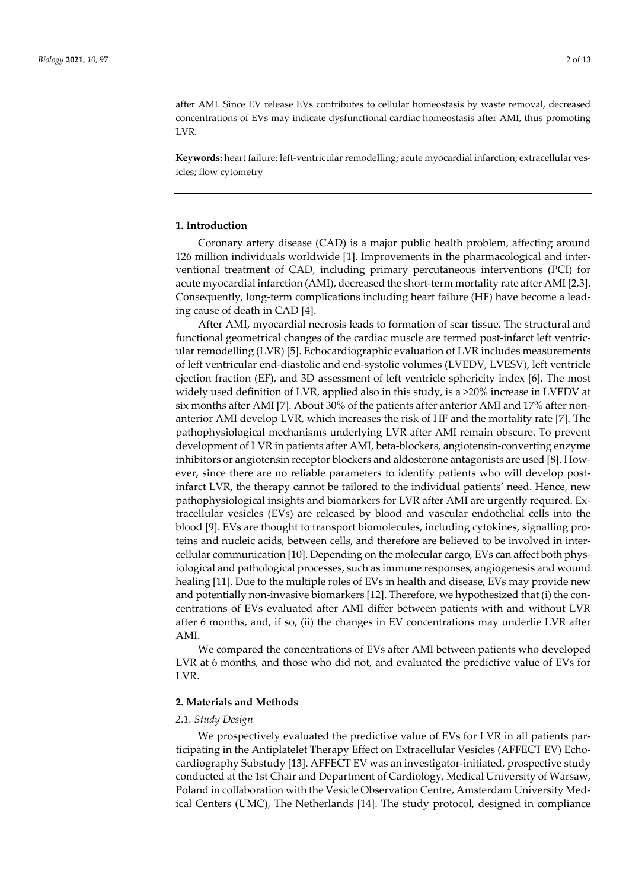after AMI. Since EV release EVs contributes to cellular homeostasis by waste removal, decreased concentrations of EVs may indicate dysfunctional cardiac homeostasis after AMI, thus promoting LVR.

**Keywords:** heart failure; left-ventricular remodelling; acute myocardial infarction; extracellular vesicles; flow cytometry

## **1. Introduction**

Coronary artery disease (CAD) is a major public health problem, affecting around 126 million individuals worldwide [1]. Improvements in the pharmacological and interventional treatment of CAD, including primary percutaneous interventions (PCI) for acute myocardial infarction (AMI), decreased the short-term mortality rate after AMI [2,3]. Consequently, long-term complications including heart failure (HF) have become a leading cause of death in CAD [4].

After AMI, myocardial necrosis leads to formation of scar tissue. The structural and functional geometrical changes of the cardiac muscle are termed post-infarct left ventricular remodelling (LVR) [5]. Echocardiographic evaluation of LVR includes measurements of left ventricular end-diastolic and end-systolic volumes (LVEDV, LVESV), left ventricle ejection fraction (EF), and 3D assessment of left ventricle sphericity index [6]. The most widely used definition of LVR, applied also in this study, is a >20% increase in LVEDV at six months after AMI [7]. About 30% of the patients after anterior AMI and 17% after nonanterior AMI develop LVR, which increases the risk of HF and the mortality rate [7]. The pathophysiological mechanisms underlying LVR after AMI remain obscure. To prevent development of LVR in patients after AMI, beta-blockers, angiotensin-converting enzyme inhibitors or angiotensin receptor blockers and aldosterone antagonists are used [8]. However, since there are no reliable parameters to identify patients who will develop postinfarct LVR, the therapy cannot be tailored to the individual patients' need. Hence, new pathophysiological insights and biomarkers for LVR after AMI are urgently required. Extracellular vesicles (EVs) are released by blood and vascular endothelial cells into the blood [9]. EVs are thought to transport biomolecules, including cytokines, signalling proteins and nucleic acids, between cells, and therefore are believed to be involved in intercellular communication [10]. Depending on the molecular cargo, EVs can affect both physiological and pathological processes, such as immune responses, angiogenesis and wound healing [11]. Due to the multiple roles of EVs in health and disease, EVs may provide new and potentially non-invasive biomarkers [12]. Therefore, we hypothesized that (i) the concentrations of EVs evaluated after AMI differ between patients with and without LVR after 6 months, and, if so, (ii) the changes in EV concentrations may underlie LVR after AMI.

We compared the concentrations of EVs after AMI between patients who developed LVR at 6 months, and those who did not, and evaluated the predictive value of EVs for LVR.

#### **2. Materials and Methods**

#### *2.1. Study Design*

We prospectively evaluated the predictive value of EVs for LVR in all patients participating in the Antiplatelet Therapy Effect on Extracellular Vesicles (AFFECT EV) Echocardiography Substudy [13]. AFFECT EV was an investigator-initiated, prospective study conducted at the 1st Chair and Department of Cardiology, Medical University of Warsaw, Poland in collaboration with the Vesicle Observation Centre, Amsterdam University Medical Centers (UMC), The Netherlands [14]. The study protocol, designed in compliance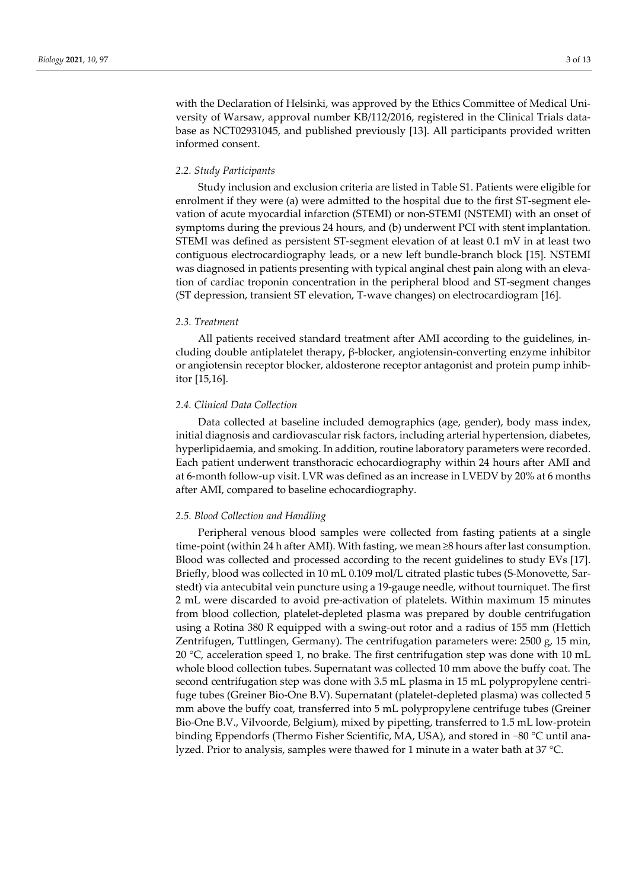with the Declaration of Helsinki, was approved by the Ethics Committee of Medical University of Warsaw, approval number KB/112/2016, registered in the Clinical Trials database as NCT02931045, and published previously [13]. All participants provided written informed consent.

## *2.2. Study Participants*

Study inclusion and exclusion criteria are listed in Table S1. Patients were eligible for enrolment if they were (a) were admitted to the hospital due to the first ST-segment elevation of acute myocardial infarction (STEMI) or non-STEMI (NSTEMI) with an onset of symptoms during the previous 24 hours, and (b) underwent PCI with stent implantation. STEMI was defined as persistent ST-segment elevation of at least 0.1 mV in at least two contiguous electrocardiography leads, or a new left bundle-branch block [15]. NSTEMI was diagnosed in patients presenting with typical anginal chest pain along with an elevation of cardiac troponin concentration in the peripheral blood and ST-segment changes (ST depression, transient ST elevation, T-wave changes) on electrocardiogram [16].

### *2.3. Treatment*

All patients received standard treatment after AMI according to the guidelines, including double antiplatelet therapy, β-blocker, angiotensin-converting enzyme inhibitor or angiotensin receptor blocker, aldosterone receptor antagonist and protein pump inhibitor [15,16].

#### *2.4. Clinical Data Collection*

Data collected at baseline included demographics (age, gender), body mass index, initial diagnosis and cardiovascular risk factors, including arterial hypertension, diabetes, hyperlipidaemia, and smoking. In addition, routine laboratory parameters were recorded. Each patient underwent transthoracic echocardiography within 24 hours after AMI and at 6-month follow-up visit. LVR was defined as an increase in LVEDV by 20% at 6 months after AMI, compared to baseline echocardiography.

### *2.5. Blood Collection and Handling*

Peripheral venous blood samples were collected from fasting patients at a single time-point (within 24 h after AMI). With fasting, we mean ≥8 hours after last consumption. Blood was collected and processed according to the recent guidelines to study EVs [17]. Briefly, blood was collected in 10 mL 0.109 mol/L citrated plastic tubes (S-Monovette, Sarstedt) via antecubital vein puncture using a 19-gauge needle, without tourniquet. The first 2 mL were discarded to avoid pre-activation of platelets. Within maximum 15 minutes from blood collection, platelet-depleted plasma was prepared by double centrifugation using a Rotina 380 R equipped with a swing-out rotor and a radius of 155 mm (Hettich Zentrifugen, Tuttlingen, Germany). The centrifugation parameters were: 2500 g, 15 min, 20  $\degree$ C, acceleration speed 1, no brake. The first centrifugation step was done with 10 mL whole blood collection tubes. Supernatant was collected 10 mm above the buffy coat. The second centrifugation step was done with 3.5 mL plasma in 15 mL polypropylene centrifuge tubes (Greiner Bio-One B.V). Supernatant (platelet-depleted plasma) was collected 5 mm above the buffy coat, transferred into 5 mL polypropylene centrifuge tubes (Greiner Bio-One B.V., Vilvoorde, Belgium), mixed by pipetting, transferred to 1.5 mL low-protein binding Eppendorfs (Thermo Fisher Scientific, MA, USA), and stored in −80 °C until analyzed. Prior to analysis, samples were thawed for 1 minute in a water bath at 37 °C.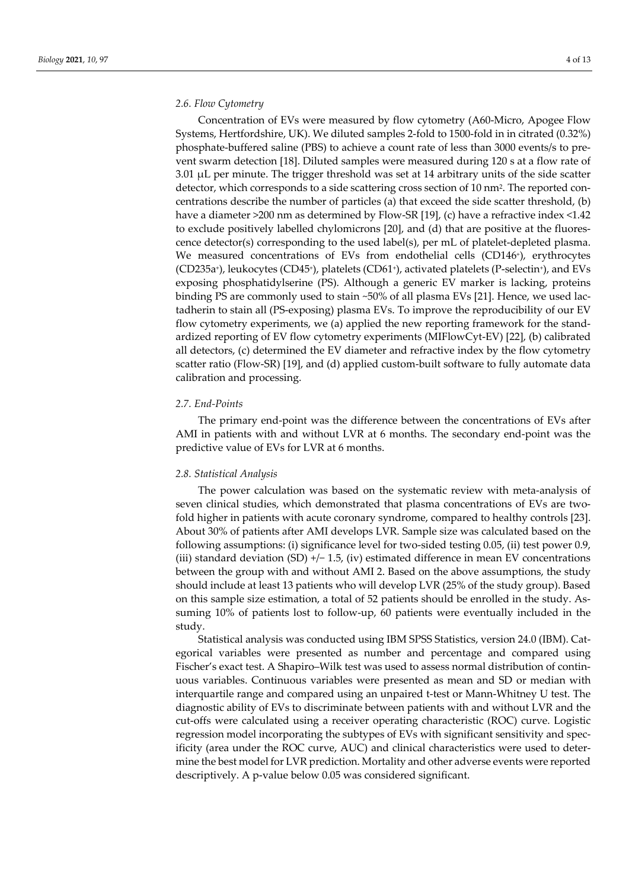#### *2.6. Flow Cytometry*

Concentration of EVs were measured by flow cytometry (A60-Micro, Apogee Flow Systems, Hertfordshire, UK). We diluted samples 2-fold to 1500-fold in in citrated (0.32%) phosphate-buffered saline (PBS) to achieve a count rate of less than 3000 events/s to prevent swarm detection [18]. Diluted samples were measured during 120 s at a flow rate of  $3.01 \mu L$  per minute. The trigger threshold was set at 14 arbitrary units of the side scatter detector, which corresponds to a side scattering cross section of 10 nm2. The reported concentrations describe the number of particles (a) that exceed the side scatter threshold, (b) have a diameter >200 nm as determined by Flow-SR [19], (c) have a refractive index <1.42 to exclude positively labelled chylomicrons [20], and (d) that are positive at the fluorescence detector(s) corresponding to the used label(s), per mL of platelet-depleted plasma. We measured concentrations of EVs from endothelial cells (CD146<sup>+</sup>), erythrocytes (CD235a+), leukocytes (CD45+), platelets (CD61+), activated platelets (P-selectin+), and EVs exposing phosphatidylserine (PS). Although a generic EV marker is lacking, proteins binding PS are commonly used to stain ~50% of all plasma EVs [21]. Hence, we used lactadherin to stain all (PS-exposing) plasma EVs. To improve the reproducibility of our EV flow cytometry experiments, we (a) applied the new reporting framework for the standardized reporting of EV flow cytometry experiments (MIFlowCyt-EV) [22], (b) calibrated all detectors, (c) determined the EV diameter and refractive index by the flow cytometry scatter ratio (Flow-SR) [19], and (d) applied custom-built software to fully automate data calibration and processing.

## *2.7. End-Points*

The primary end-point was the difference between the concentrations of EVs after AMI in patients with and without LVR at 6 months. The secondary end-point was the predictive value of EVs for LVR at 6 months.

#### *2.8. Statistical Analysis*

The power calculation was based on the systematic review with meta-analysis of seven clinical studies, which demonstrated that plasma concentrations of EVs are twofold higher in patients with acute coronary syndrome, compared to healthy controls [23]. About 30% of patients after AMI develops LVR. Sample size was calculated based on the following assumptions: (i) significance level for two-sided testing 0.05, (ii) test power 0.9, (iii) standard deviation (SD) +/− 1.5, (iv) estimated difference in mean EV concentrations between the group with and without AMI 2. Based on the above assumptions, the study should include at least 13 patients who will develop LVR (25% of the study group). Based on this sample size estimation, a total of 52 patients should be enrolled in the study. Assuming 10% of patients lost to follow-up, 60 patients were eventually included in the study.

Statistical analysis was conducted using IBM SPSS Statistics, version 24.0 (IBM). Categorical variables were presented as number and percentage and compared using Fischer's exact test. A Shapiro–Wilk test was used to assess normal distribution of continuous variables. Continuous variables were presented as mean and SD or median with interquartile range and compared using an unpaired t-test or Mann-Whitney U test. The diagnostic ability of EVs to discriminate between patients with and without LVR and the cut-offs were calculated using a receiver operating characteristic (ROC) curve. Logistic regression model incorporating the subtypes of EVs with significant sensitivity and specificity (area under the ROC curve, AUC) and clinical characteristics were used to determine the best model for LVR prediction. Mortality and other adverse events were reported descriptively. A p-value below 0.05 was considered significant.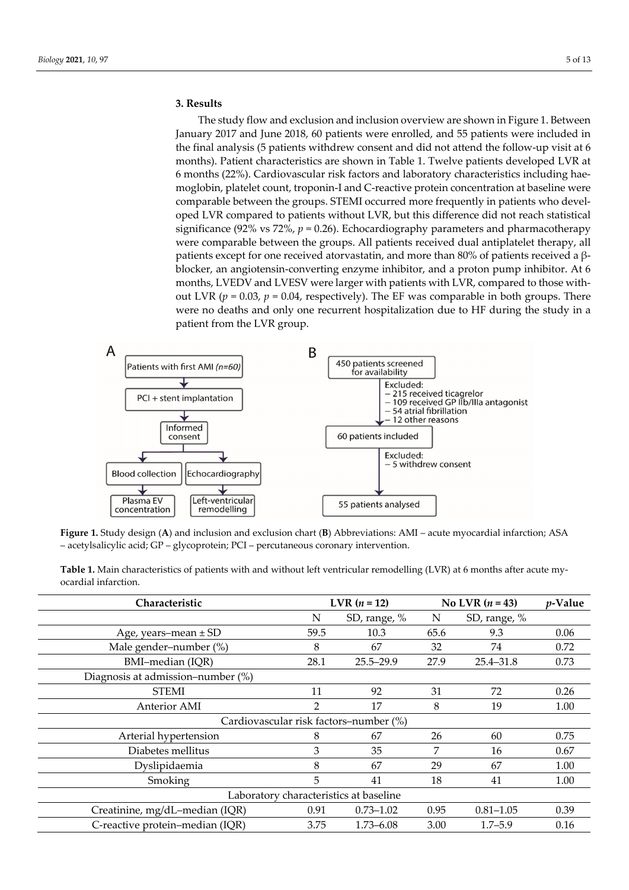## **3. Results**

The study flow and exclusion and inclusion overview are shown in Figure 1. Between January 2017 and June 2018, 60 patients were enrolled, and 55 patients were included in the final analysis (5 patients withdrew consent and did not attend the follow-up visit at 6 months). Patient characteristics are shown in Table 1. Twelve patients developed LVR at 6 months (22%). Cardiovascular risk factors and laboratory characteristics including haemoglobin, platelet count, troponin-I and C-reactive protein concentration at baseline were comparable between the groups. STEMI occurred more frequently in patients who developed LVR compared to patients without LVR, but this difference did not reach statistical significance (92% vs 72%,  $p = 0.26$ ). Echocardiography parameters and pharmacotherapy were comparable between the groups. All patients received dual antiplatelet therapy, all patients except for one received atorvastatin, and more than 80% of patients received a βblocker, an angiotensin-converting enzyme inhibitor, and a proton pump inhibitor. At 6 months, LVEDV and LVESV were larger with patients with LVR, compared to those without LVR  $(p = 0.03, p = 0.04,$  respectively). The EF was comparable in both groups. There were no deaths and only one recurrent hospitalization due to HF during the study in a patient from the LVR group.



**Figure 1.** Study design (**A**) and inclusion and exclusion chart (**B**) Abbreviations: AMI – acute myocardial infarction; ASA – acetylsalicylic acid; GP – glycoprotein; PCI – percutaneous coronary intervention.

| Characteristic                         | <b>LVR</b> $(n = 12)$ |               | No LVR $(n = 43)$ |               | $p$ -Value |  |  |  |  |  |
|----------------------------------------|-----------------------|---------------|-------------------|---------------|------------|--|--|--|--|--|
|                                        | N                     | SD, range, %  | N                 | SD, range, %  |            |  |  |  |  |  |
| Age, years-mean ± SD                   | 59.5                  | 10.3          | 65.6              | 9.3           | 0.06       |  |  |  |  |  |
| Male gender-number (%)                 | 8                     | 67            | 32                | 74            | 0.72       |  |  |  |  |  |
| BMI-median (IQR)                       | 28.1                  | $25.5 - 29.9$ | 27.9              | 25.4–31.8     | 0.73       |  |  |  |  |  |
| Diagnosis at admission–number (%)      |                       |               |                   |               |            |  |  |  |  |  |
| <b>STEMI</b>                           | 11                    | 92            | 31                | 72            | 0.26       |  |  |  |  |  |
| <b>Anterior AMI</b>                    | $\overline{2}$        | 17            | 8                 | 19            | 1.00       |  |  |  |  |  |
| Cardiovascular risk factors-number (%) |                       |               |                   |               |            |  |  |  |  |  |
| Arterial hypertension                  | 8                     | 67            | 26                | 60            | 0.75       |  |  |  |  |  |
| Diabetes mellitus                      | 3                     | 35            | 7                 | 16            | 0.67       |  |  |  |  |  |
| Dyslipidaemia                          | 8                     | 67            | 29                | 67            | 1.00       |  |  |  |  |  |
| Smoking                                | 5                     | 41            | 18                | 41            | 1.00       |  |  |  |  |  |
| Laboratory characteristics at baseline |                       |               |                   |               |            |  |  |  |  |  |
| Creatinine, mg/dL-median (IQR)         | 0.91                  | $0.73 - 1.02$ | 0.95              | $0.81 - 1.05$ | 0.39       |  |  |  |  |  |
| C-reactive protein-median (IQR)        | 3.75                  | 1.73–6.08     | 3.00              | $1.7 - 5.9$   | 0.16       |  |  |  |  |  |

**Table 1.** Main characteristics of patients with and without left ventricular remodelling (LVR) at 6 months after acute myocardial infarction.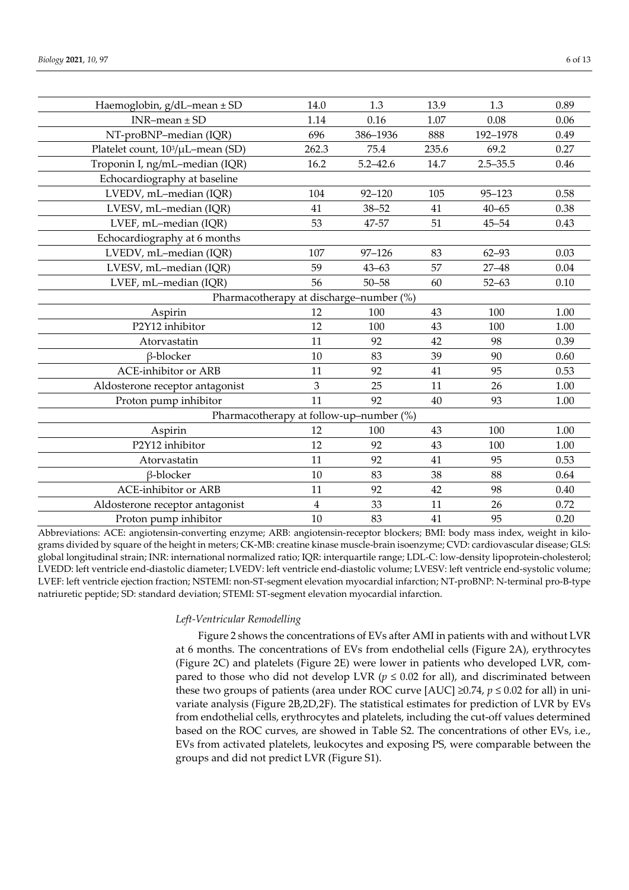| Haemoglobin, $g/dL$ -mean $\pm$ SD            | 14.0           | 1.3          | 13.9  | 1.3          | 0.89 |  |  |  |
|-----------------------------------------------|----------------|--------------|-------|--------------|------|--|--|--|
| $INR$ -mean $\pm$ SD                          | 1.14           | 0.16         | 1.07  | 0.08         | 0.06 |  |  |  |
| NT-proBNP-median (IQR)                        | 696            | 386-1936     | 888   | 192-1978     | 0.49 |  |  |  |
| Platelet count, 10 <sup>3</sup> /µL-mean (SD) | 262.3          | 75.4         | 235.6 | 69.2         | 0.27 |  |  |  |
| Troponin I, ng/mL-median (IQR)                | 16.2           | $5.2 - 42.6$ | 14.7  | $2.5 - 35.5$ | 0.46 |  |  |  |
| Echocardiography at baseline                  |                |              |       |              |      |  |  |  |
| LVEDV, mL-median (IQR)                        | 104            | $92 - 120$   | 105   | $95 - 123$   | 0.58 |  |  |  |
| LVESV, mL-median (IQR)                        | 41             | $38 - 52$    | 41    | $40 - 65$    | 0.38 |  |  |  |
| LVEF, mL-median (IQR)                         | 53             | 47-57        | 51    | $45 - 54$    | 0.43 |  |  |  |
| Echocardiography at 6 months                  |                |              |       |              |      |  |  |  |
| LVEDV, mL-median (IQR)                        | 107            | $97 - 126$   | 83    | $62 - 93$    | 0.03 |  |  |  |
| LVESV, mL-median (IQR)                        | 59             | $43 - 63$    | 57    | $27 - 48$    | 0.04 |  |  |  |
| LVEF, mL-median (IQR)                         | 56             | $50 - 58$    | 60    | $52 - 63$    | 0.10 |  |  |  |
| Pharmacotherapy at discharge-number (%)       |                |              |       |              |      |  |  |  |
| Aspirin                                       | 12             | 100          | 43    | 100          | 1.00 |  |  |  |
| P2Y12 inhibitor                               | 12             | 100          | 43    | 100          | 1.00 |  |  |  |
| Atorvastatin                                  | 11             | 92           | 42    | 98           | 0.39 |  |  |  |
| β-blocker                                     | 10             | 83           | 39    | 90           | 0.60 |  |  |  |
| <b>ACE-inhibitor or ARB</b>                   | 11             | 92           | 41    | 95           | 0.53 |  |  |  |
| Aldosterone receptor antagonist               | 3              | 25           | 11    | 26           | 1.00 |  |  |  |
| Proton pump inhibitor                         | 11             | 92           | 40    | 93           | 1.00 |  |  |  |
| Pharmacotherapy at follow-up-number (%)       |                |              |       |              |      |  |  |  |
| Aspirin                                       | 12             | 100          | 43    | 100          | 1.00 |  |  |  |
| P2Y12 inhibitor                               | 12             | 92           | 43    | 100          | 1.00 |  |  |  |
| Atorvastatin                                  | 11             | 92           | 41    | 95           | 0.53 |  |  |  |
| β-blocker                                     | 10             | 83           | 38    | 88           | 0.64 |  |  |  |
| <b>ACE-inhibitor or ARB</b>                   | 11             | 92           | 42    | 98           | 0.40 |  |  |  |
| Aldosterone receptor antagonist               | $\overline{4}$ | 33           | 11    | 26           | 0.72 |  |  |  |
| Proton pump inhibitor                         | 10             | 83           | 41    | 95           | 0.20 |  |  |  |
|                                               |                |              |       |              |      |  |  |  |

Abbreviations: ACE: angiotensin-converting enzyme; ARB: angiotensin-receptor blockers; BMI: body mass index, weight in kilograms divided by square of the height in meters; CK-MB: creatine kinase muscle-brain isoenzyme; CVD: cardiovascular disease; GLS: global longitudinal strain; INR: international normalized ratio; IQR: interquartile range; LDL-C: low-density lipoprotein-cholesterol; LVEDD: left ventricle end-diastolic diameter; LVEDV: left ventricle end-diastolic volume; LVESV: left ventricle end-systolic volume; LVEF: left ventricle ejection fraction; NSTEMI: non-ST-segment elevation myocardial infarction; NT-proBNP: N-terminal pro-B-type natriuretic peptide; SD: standard deviation; STEMI: ST-segment elevation myocardial infarction.

## *Left-Ventricular Remodelling*

Figure 2 shows the concentrations of EVs after AMI in patients with and without LVR at 6 months. The concentrations of EVs from endothelial cells (Figure 2A), erythrocytes (Figure 2C) and platelets (Figure 2E) were lower in patients who developed LVR, compared to those who did not develop LVR ( $p \le 0.02$  for all), and discriminated between these two groups of patients (area under ROC curve  $[AUC] \geq 0.74$ ,  $p \leq 0.02$  for all) in univariate analysis (Figure 2B,2D,2F). The statistical estimates for prediction of LVR by EVs from endothelial cells, erythrocytes and platelets, including the cut-off values determined based on the ROC curves, are showed in Table S2. The concentrations of other EVs, i.e., EVs from activated platelets, leukocytes and exposing PS, were comparable between the groups and did not predict LVR (Figure S1).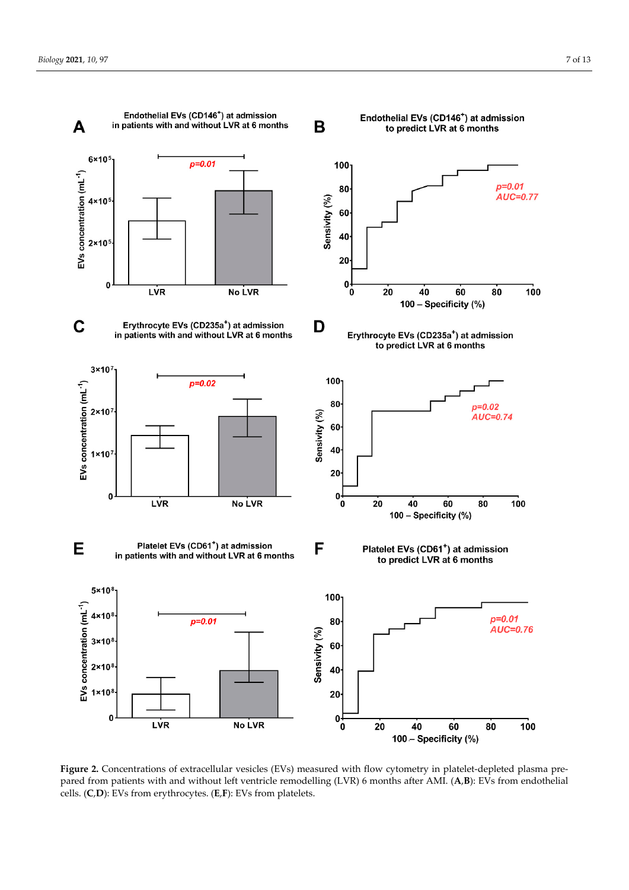

Figure 2. Concentrations of extracellular vesicles (EVs) measured with flow cytometry in platelet-depleted plasma prepared from patients with and without left ventricle remodelling (LVR) 6 months after AMI. (**A**,**B**): EVs from endothelial cells. (**C**,**D**): EVs from erythrocytes. (**E**,**F**): EVs from platelets.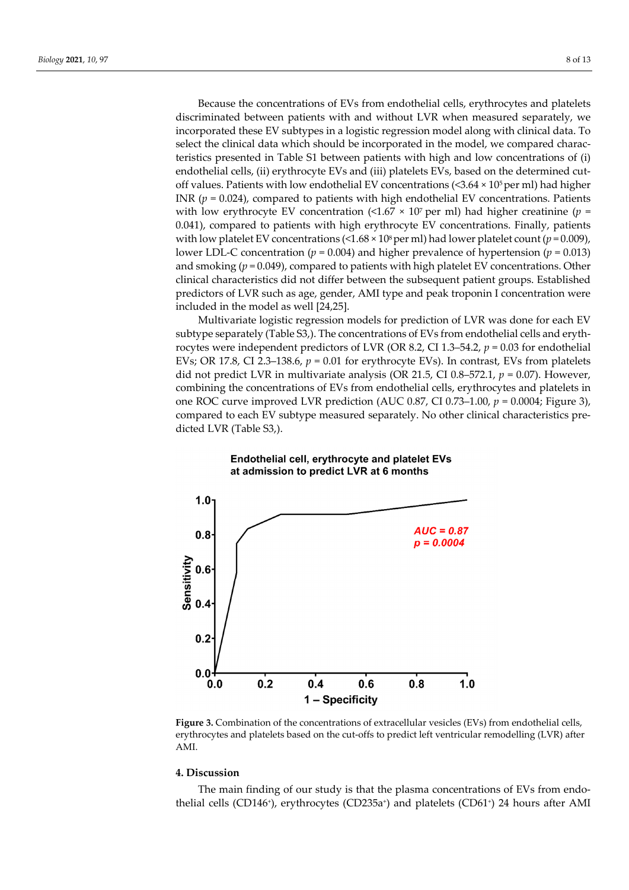Because the concentrations of EVs from endothelial cells, erythrocytes and platelets discriminated between patients with and without LVR when measured separately, we incorporated these EV subtypes in a logistic regression model along with clinical data. To select the clinical data which should be incorporated in the model, we compared characteristics presented in Table S1 between patients with high and low concentrations of (i) endothelial cells, (ii) erythrocyte EVs and (iii) platelets EVs, based on the determined cutoff values. Patients with low endothelial EV concentrations  $( $3.64 \times 10^5$  per ml)$  had higher INR  $(p = 0.024)$ , compared to patients with high endothelial EV concentrations. Patients with low erythrocyte EV concentration  $\left($  <1.67  $\times$  10<sup>7</sup> per ml) had higher creatinine (*p* = 0.041), compared to patients with high erythrocyte EV concentrations. Finally, patients with low platelet EV concentrations  $\left($ <1.68  $\times$  10<sup>8</sup> per ml) had lower platelet count (*p* = 0.009), lower LDL-C concentration (*p* = 0.004) and higher prevalence of hypertension (*p* = 0.013) and smoking (*p* = 0.049), compared to patients with high platelet EV concentrations. Other clinical characteristics did not differ between the subsequent patient groups. Established predictors of LVR such as age, gender, AMI type and peak troponin I concentration were included in the model as well [24,25].

Multivariate logistic regression models for prediction of LVR was done for each EV subtype separately (Table S3,). The concentrations of EVs from endothelial cells and erythrocytes were independent predictors of LVR (OR 8.2, CI 1.3–54.2, *p* = 0.03 for endothelial EVs; OR 17.8, CI 2.3–138.6, *p* = 0.01 for erythrocyte EVs). In contrast, EVs from platelets did not predict LVR in multivariate analysis (OR 21.5, CI 0.8–572.1, *p* = 0.07). However, combining the concentrations of EVs from endothelial cells, erythrocytes and platelets in one ROC curve improved LVR prediction (AUC 0.87, CI 0.73–1.00,  $p = 0.0004$ ; Figure 3), compared to each EV subtype measured separately. No other clinical characteristics predicted LVR (Table S3,).



## Endothelial cell, erythrocyte and platelet EVs at admission to predict LVR at 6 months

**Figure 3.** Combination of the concentrations of extracellular vesicles (EVs) from endothelial cells, erythrocytes and platelets based on the cut-offs to predict left ventricular remodelling (LVR) after AMI.

## **4. Discussion**

The main finding of our study is that the plasma concentrations of EVs from endothelial cells (CD146<sup>+</sup>), erythrocytes (CD235a<sup>+</sup>) and platelets (CD61<sup>+</sup>) 24 hours after AMI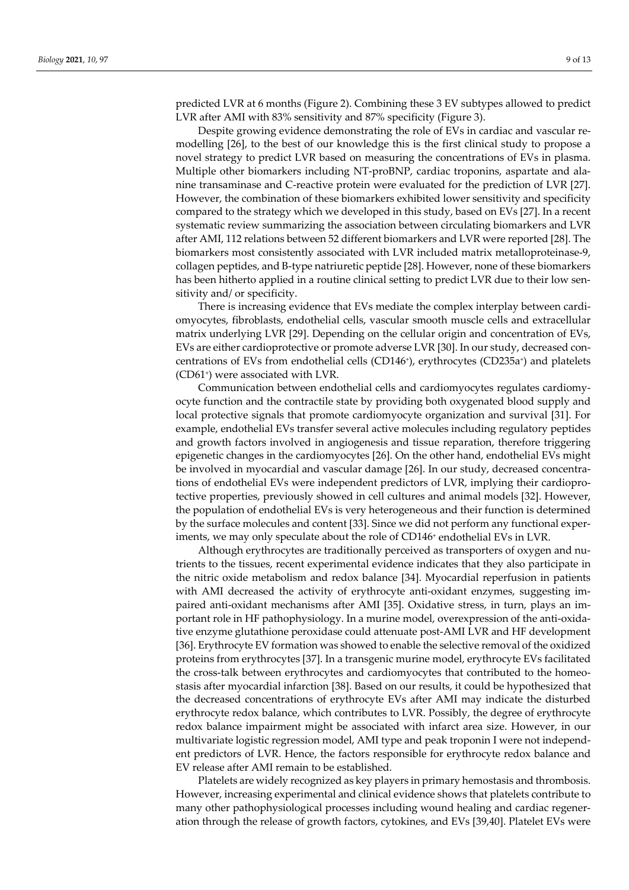predicted LVR at 6 months (Figure 2). Combining these 3 EV subtypes allowed to predict LVR after AMI with 83% sensitivity and 87% specificity (Figure 3).

Despite growing evidence demonstrating the role of EVs in cardiac and vascular remodelling [26], to the best of our knowledge this is the first clinical study to propose a novel strategy to predict LVR based on measuring the concentrations of EVs in plasma. Multiple other biomarkers including NT-proBNP, cardiac troponins, aspartate and alanine transaminase and C-reactive protein were evaluated for the prediction of LVR [27]. However, the combination of these biomarkers exhibited lower sensitivity and specificity compared to the strategy which we developed in this study, based on EVs [27]. In a recent systematic review summarizing the association between circulating biomarkers and LVR after AMI, 112 relations between 52 different biomarkers and LVR were reported [28]. The biomarkers most consistently associated with LVR included matrix metalloproteinase-9, collagen peptides, and B-type natriuretic peptide [28]. However, none of these biomarkers has been hitherto applied in a routine clinical setting to predict LVR due to their low sensitivity and/ or specificity.

There is increasing evidence that EVs mediate the complex interplay between cardiomyocytes, fibroblasts, endothelial cells, vascular smooth muscle cells and extracellular matrix underlying LVR [29]. Depending on the cellular origin and concentration of EVs, EVs are either cardioprotective or promote adverse LVR [30]. In our study, decreased concentrations of EVs from endothelial cells (CD146+), erythrocytes (CD235a+) and platelets (CD61+) were associated with LVR.

Communication between endothelial cells and cardiomyocytes regulates cardiomyocyte function and the contractile state by providing both oxygenated blood supply and local protective signals that promote cardiomyocyte organization and survival [31]. For example, endothelial EVs transfer several active molecules including regulatory peptides and growth factors involved in angiogenesis and tissue reparation, therefore triggering epigenetic changes in the cardiomyocytes [26]. On the other hand, endothelial EVs might be involved in myocardial and vascular damage [26]. In our study, decreased concentrations of endothelial EVs were independent predictors of LVR, implying their cardioprotective properties, previously showed in cell cultures and animal models [32]. However, the population of endothelial EVs is very heterogeneous and their function is determined by the surface molecules and content [33]. Since we did not perform any functional experiments, we may only speculate about the role of CD146<sup>+</sup> endothelial EVs in LVR.

Although erythrocytes are traditionally perceived as transporters of oxygen and nutrients to the tissues, recent experimental evidence indicates that they also participate in the nitric oxide metabolism and redox balance [34]. Myocardial reperfusion in patients with AMI decreased the activity of erythrocyte anti-oxidant enzymes, suggesting impaired anti-oxidant mechanisms after AMI [35]. Oxidative stress, in turn, plays an important role in HF pathophysiology. In a murine model, overexpression of the anti-oxidative enzyme glutathione peroxidase could attenuate post-AMI LVR and HF development [36]. Erythrocyte EV formation was showed to enable the selective removal of the oxidized proteins from erythrocytes [37]. In a transgenic murine model, erythrocyte EVs facilitated the cross-talk between erythrocytes and cardiomyocytes that contributed to the homeostasis after myocardial infarction [38]. Based on our results, it could be hypothesized that the decreased concentrations of erythrocyte EVs after AMI may indicate the disturbed erythrocyte redox balance, which contributes to LVR. Possibly, the degree of erythrocyte redox balance impairment might be associated with infarct area size. However, in our multivariate logistic regression model, AMI type and peak troponin I were not independent predictors of LVR. Hence, the factors responsible for erythrocyte redox balance and EV release after AMI remain to be established.

Platelets are widely recognized as key players in primary hemostasis and thrombosis. However, increasing experimental and clinical evidence shows that platelets contribute to many other pathophysiological processes including wound healing and cardiac regeneration through the release of growth factors, cytokines, and EVs [39,40]. Platelet EVs were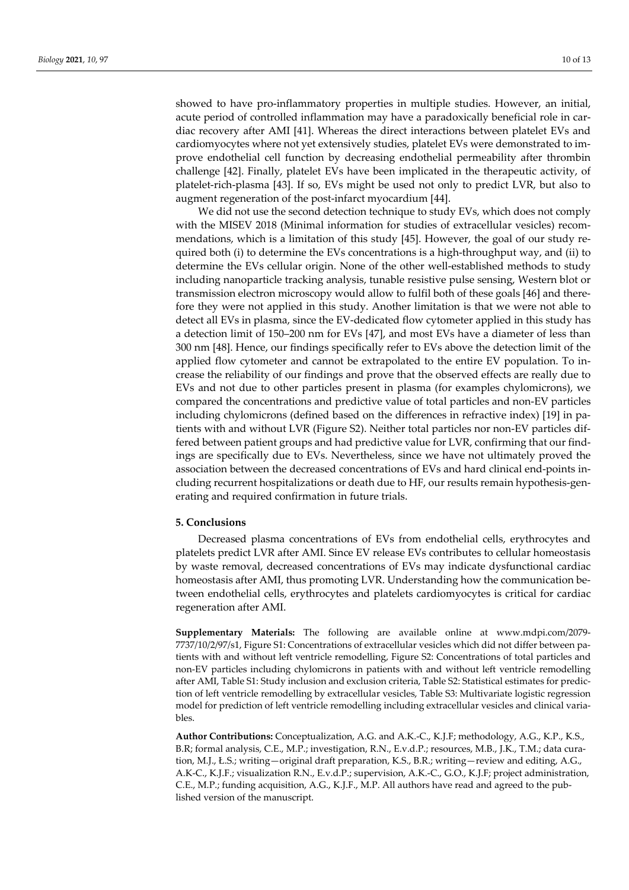showed to have pro-inflammatory properties in multiple studies. However, an initial, acute period of controlled inflammation may have a paradoxically beneficial role in cardiac recovery after AMI [41]. Whereas the direct interactions between platelet EVs and cardiomyocytes where not yet extensively studies, platelet EVs were demonstrated to improve endothelial cell function by decreasing endothelial permeability after thrombin challenge [42]. Finally, platelet EVs have been implicated in the therapeutic activity, of platelet-rich-plasma [43]. If so, EVs might be used not only to predict LVR, but also to augment regeneration of the post-infarct myocardium [44].

We did not use the second detection technique to study EVs, which does not comply with the MISEV 2018 (Minimal information for studies of extracellular vesicles) recommendations, which is a limitation of this study [45]. However, the goal of our study required both (i) to determine the EVs concentrations is a high-throughput way, and (ii) to determine the EVs cellular origin. None of the other well-established methods to study including nanoparticle tracking analysis, tunable resistive pulse sensing, Western blot or transmission electron microscopy would allow to fulfil both of these goals [46] and therefore they were not applied in this study. Another limitation is that we were not able to detect all EVs in plasma, since the EV-dedicated flow cytometer applied in this study has a detection limit of 150–200 nm for EVs [47], and most EVs have a diameter of less than 300 nm [48]. Hence, our findings specifically refer to EVs above the detection limit of the applied flow cytometer and cannot be extrapolated to the entire EV population. To increase the reliability of our findings and prove that the observed effects are really due to EVs and not due to other particles present in plasma (for examples chylomicrons), we compared the concentrations and predictive value of total particles and non-EV particles including chylomicrons (defined based on the differences in refractive index) [19] in patients with and without LVR (Figure S2). Neither total particles nor non-EV particles differed between patient groups and had predictive value for LVR, confirming that our findings are specifically due to EVs. Nevertheless, since we have not ultimately proved the association between the decreased concentrations of EVs and hard clinical end-points including recurrent hospitalizations or death due to HF, our results remain hypothesis-generating and required confirmation in future trials.

#### **5. Conclusions**

Decreased plasma concentrations of EVs from endothelial cells, erythrocytes and platelets predict LVR after AMI. Since EV release EVs contributes to cellular homeostasis by waste removal, decreased concentrations of EVs may indicate dysfunctional cardiac homeostasis after AMI, thus promoting LVR. Understanding how the communication between endothelial cells, erythrocytes and platelets cardiomyocytes is critical for cardiac regeneration after AMI.

**Supplementary Materials:** The following are available online at www.mdpi.com/2079- 7737/10/2/97/s1, Figure S1: Concentrations of extracellular vesicles which did not differ between patients with and without left ventricle remodelling, Figure S2: Concentrations of total particles and non-EV particles including chylomicrons in patients with and without left ventricle remodelling after AMI, Table S1: Study inclusion and exclusion criteria, Table S2: Statistical estimates for prediction of left ventricle remodelling by extracellular vesicles, Table S3: Multivariate logistic regression model for prediction of left ventricle remodelling including extracellular vesicles and clinical variables.

**Author Contributions:** Conceptualization, A.G. and A.K.-C., K.J.F; methodology, A.G., K.P., K.S., B.R; formal analysis, C.E., M.P.; investigation, R.N., E.v.d.P.; resources, M.B., J.K., T.M.; data curation, M.J., Ł.S.; writing—original draft preparation, K.S., B.R.; writing—review and editing, A.G., A.K-C., K.J.F.; visualization R.N., E.v.d.P.; supervision, A.K.-C., G.O., K.J.F; project administration, C.E., M.P.; funding acquisition, A.G., K.J.F., M.P. All authors have read and agreed to the published version of the manuscript.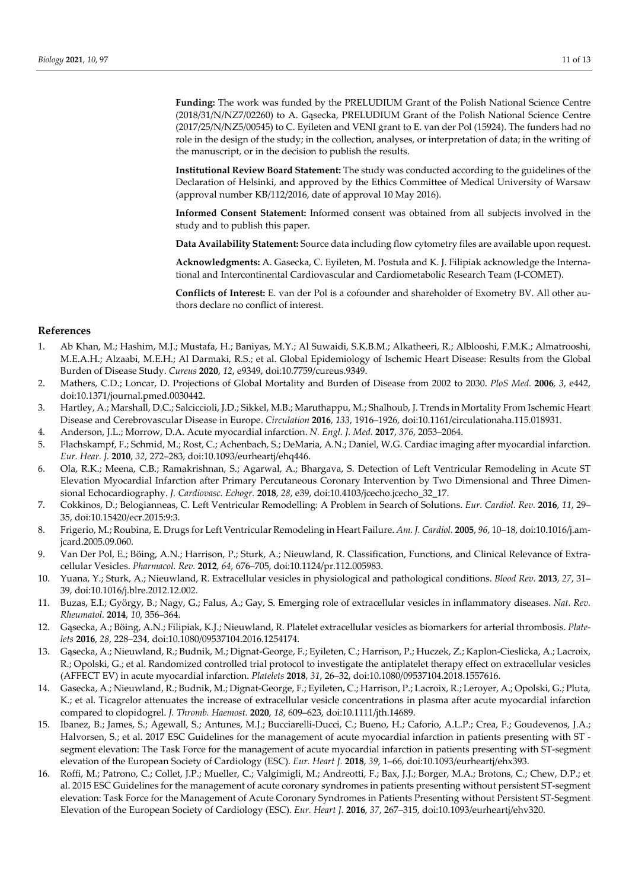**Funding:** The work was funded by the PRELUDIUM Grant of the Polish National Science Centre (2018/31/N/NZ7/02260) to A. Gąsecka, PRELUDIUM Grant of the Polish National Science Centre (2017/25/N/NZ5/00545) to C. Eyileten and VENI grant to E. van der Pol (15924). The funders had no role in the design of the study; in the collection, analyses, or interpretation of data; in the writing of the manuscript, or in the decision to publish the results.

**Institutional Review Board Statement:** The study was conducted according to the guidelines of the Declaration of Helsinki, and approved by the Ethics Committee of Medical University of Warsaw (approval number KB/112/2016, date of approval 10 May 2016).

**Informed Consent Statement:** Informed consent was obtained from all subjects involved in the study and to publish this paper.

**Data Availability Statement:** Source data including flow cytometry files are available upon request.

**Acknowledgments:** A. Gasecka, C. Eyileten, M. Postuła and K. J. Filipiak acknowledge the International and Intercontinental Cardiovascular and Cardiometabolic Research Team (I-COMET).

**Conflicts of Interest:** E. van der Pol is a cofounder and shareholder of Exometry BV. All other authors declare no conflict of interest.

## **References**

- 1. Ab Khan, M.; Hashim, M.J.; Mustafa, H.; Baniyas, M.Y.; Al Suwaidi, S.K.B.M.; Alkatheeri, R.; Alblooshi, F.M.K.; Almatrooshi, M.E.A.H.; Alzaabi, M.E.H.; Al Darmaki, R.S.; et al. Global Epidemiology of Ischemic Heart Disease: Results from the Global Burden of Disease Study. *Cureus* **2020**, *12*, e9349, doi:10.7759/cureus.9349.
- 2. Mathers, C.D.; Loncar, D. Projections of Global Mortality and Burden of Disease from 2002 to 2030. *PloS Med.* **2006**, *3*, e442, doi:10.1371/journal.pmed.0030442.
- 3. Hartley, A.; Marshall, D.C.; Salciccioli, J.D.; Sikkel, M.B.; Maruthappu, M.; Shalhoub, J. Trends in Mortality From Ischemic Heart Disease and Cerebrovascular Disease in Europe. *Circulation* **2016**, *133*, 1916–1926, doi:10.1161/circulationaha.115.018931.
- 4. Anderson, J.L.; Morrow, D.A. Acute myocardial infarction. *N. Engl. J. Med.* **2017**, *376*, 2053–2064.
- 5. Flachskampf, F.; Schmid, M.; Rost, C.; Achenbach, S.; DeMaria, A.N.; Daniel, W.G. Cardiac imaging after myocardial infarction. *Eur. Hear. J.* **2010**, *32*, 272–283, doi:10.1093/eurheartj/ehq446.
- 6. Ola, R.K.; Meena, C.B.; Ramakrishnan, S.; Agarwal, A.; Bhargava, S. Detection of Left Ventricular Remodeling in Acute ST Elevation Myocardial Infarction after Primary Percutaneous Coronary Intervention by Two Dimensional and Three Dimensional Echocardiography. *J. Cardiovasc. Echogr.* **2018**, *28*, e39, doi:10.4103/jcecho.jcecho\_32\_17.
- 7. Cokkinos, D.; Belogianneas, C. Left Ventricular Remodelling: A Problem in Search of Solutions. *Eur. Cardiol. Rev.* **2016**, *11*, 29– 35, doi:10.15420/ecr.2015:9:3.
- 8. Frigerio, M.; Roubina, E. Drugs for Left Ventricular Remodeling in Heart Failure. *Am. J. Cardiol.* **2005**, *96*, 10–18, doi:10.1016/j.amjcard.2005.09.060.
- 9. Van Der Pol, E.; Böing, A.N.; Harrison, P.; Sturk, A.; Nieuwland, R. Classification, Functions, and Clinical Relevance of Extracellular Vesicles. *Pharmacol. Rev.* **2012**, *64*, 676–705, doi:10.1124/pr.112.005983.
- 10. Yuana, Y.; Sturk, A.; Nieuwland, R. Extracellular vesicles in physiological and pathological conditions. *Blood Rev.* **2013**, *27*, 31– 39, doi:10.1016/j.blre.2012.12.002.
- 11. Buzas, E.I.; György, B.; Nagy, G.; Falus, A.; Gay, S. Emerging role of extracellular vesicles in inflammatory diseases. *Nat. Rev. Rheumatol.* **2014**, *10*, 356–364.
- 12. Gąsecka, A.; Böing, A.N.; Filipiak, K.J.; Nieuwland, R. Platelet extracellular vesicles as biomarkers for arterial thrombosis. *Platelets* **2016**, *28*, 228–234, doi:10.1080/09537104.2016.1254174.
- 13. Gąsecka, A.; Nieuwland, R.; Budnik, M.; Dignat-George, F.; Eyileten, C.; Harrison, P.; Huczek, Z.; Kaplon-Cieslicka, A.; Lacroix, R.; Opolski, G.; et al. Randomized controlled trial protocol to investigate the antiplatelet therapy effect on extracellular vesicles (AFFECT EV) in acute myocardial infarction. *Platelets* **2018**, *31*, 26–32, doi:10.1080/09537104.2018.1557616.
- 14. Gasecka, A.; Nieuwland, R.; Budnik, M.; Dignat-George, F.; Eyileten, C.; Harrison, P.; Lacroix, R.; Leroyer, A.; Opolski, G.; Pluta, K.; et al. Ticagrelor attenuates the increase of extracellular vesicle concentrations in plasma after acute myocardial infarction compared to clopidogrel. *J. Thromb. Haemost.* **2020**, *18*, 609–623, doi:10.1111/jth.14689.
- 15. Ibanez, B.; James, S.; Agewall, S.; Antunes, M.J.; Bucciarelli-Ducci, C.; Bueno, H.; Caforio, A.L.P.; Crea, F.; Goudevenos, J.A.; Halvorsen, S.; et al. 2017 ESC Guidelines for the management of acute myocardial infarction in patients presenting with ST segment elevation: The Task Force for the management of acute myocardial infarction in patients presenting with ST-segment elevation of the European Society of Cardiology (ESC). *Eur. Heart J.* **2018**, *39*, 1–66, doi:10.1093/eurheartj/ehx393.
- 16. Roffi, M.; Patrono, C.; Collet, J.P.; Mueller, C.; Valgimigli, M.; Andreotti, F.; Bax, J.J.; Borger, M.A.; Brotons, C.; Chew, D.P.; et al. 2015 ESC Guidelines for the management of acute coronary syndromes in patients presenting without persistent ST-segment elevation: Task Force for the Management of Acute Coronary Syndromes in Patients Presenting without Persistent ST-Segment Elevation of the European Society of Cardiology (ESC). *Eur. Heart J.* **2016**, *37*, 267–315, doi:10.1093/eurheartj/ehv320.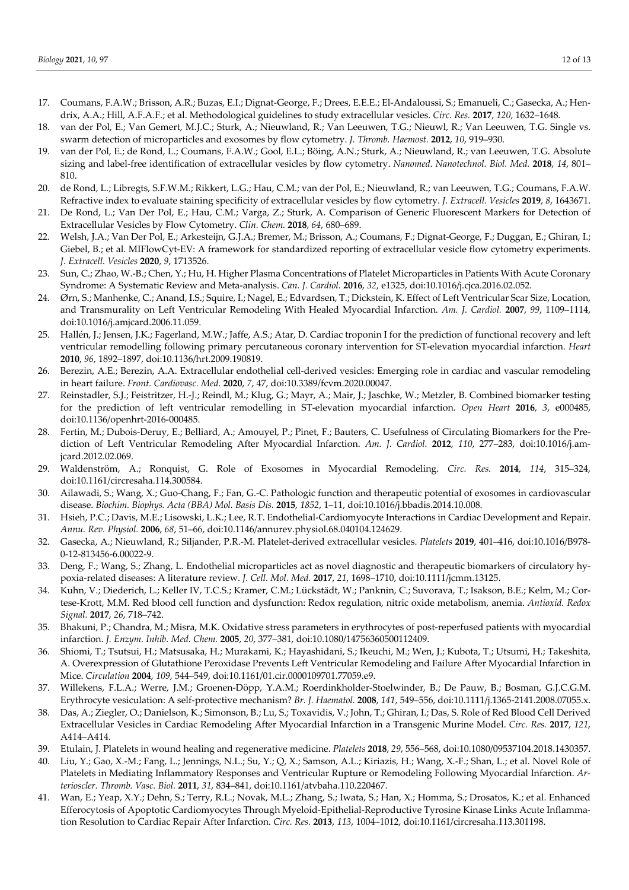- 17. Coumans, F.A.W.; Brisson, A.R.; Buzas, E.I.; Dignat-George, F.; Drees, E.E.E.; El-Andaloussi, S.; Emanueli, C.; Gasecka, A.; Hendrix, A.A.; Hill, A.F.A.F.; et al. Methodological guidelines to study extracellular vesicles. *Circ. Res.* **2017**, *120*, 1632–1648.
- 18. van der Pol, E.; Van Gemert, M.J.C.; Sturk, A.; Nieuwland, R.; Van Leeuwen, T.G.; Nieuwl, R.; Van Leeuwen, T.G. Single vs. swarm detection of microparticles and exosomes by flow cytometry. *J. Thromb. Haemost.* **2012**, *10*, 919–930.
- 19. van der Pol, E.; de Rond, L.; Coumans, F.A.W.; Gool, E.L.; Böing, A.N.; Sturk, A.; Nieuwland, R.; van Leeuwen, T.G. Absolute sizing and label-free identification of extracellular vesicles by flow cytometry. *Nanomed. Nanotechnol. Biol. Med.* **2018**, *14*, 801– 810.
- 20. de Rond, L.; Libregts, S.F.W.M.; Rikkert, L.G.; Hau, C.M.; van der Pol, E.; Nieuwland, R.; van Leeuwen, T.G.; Coumans, F.A.W. Refractive index to evaluate staining specificity of extracellular vesicles by flow cytometry. *J. Extracell. Vesicles* **2019**, *8*, 1643671.
- 21. De Rond, L.; Van Der Pol, E.; Hau, C.M.; Varga, Z.; Sturk, A. Comparison of Generic Fluorescent Markers for Detection of Extracellular Vesicles by Flow Cytometry. *Clin. Chem.* **2018**, *64*, 680–689.
- 22. Welsh, J.A.; Van Der Pol, E.; Arkesteijn, G.J.A.; Bremer, M.; Brisson, A.; Coumans, F.; Dignat-George, F.; Duggan, E.; Ghiran, I.; Giebel, B.; et al. MIFlowCyt-EV: A framework for standardized reporting of extracellular vesicle flow cytometry experiments. *J. Extracell. Vesicles* **2020**, *9*, 1713526.
- 23. Sun, C.; Zhao, W.-B.; Chen, Y.; Hu, H. Higher Plasma Concentrations of Platelet Microparticles in Patients With Acute Coronary Syndrome: A Systematic Review and Meta-analysis. *Can. J. Cardiol.* **2016**, *32*, e1325, doi:10.1016/j.cjca.2016.02.052.
- 24. Ørn, S.; Manhenke, C.; Anand, I.S.; Squire, I.; Nagel, E.; Edvardsen, T.; Dickstein, K. Effect of Left Ventricular Scar Size, Location, and Transmurality on Left Ventricular Remodeling With Healed Myocardial Infarction. *Am. J. Cardiol.* **2007**, *99*, 1109–1114, doi:10.1016/j.amjcard.2006.11.059.
- 25. Hallén, J.; Jensen, J.K.; Fagerland, M.W.; Jaffe, A.S.; Atar, D. Cardiac troponin I for the prediction of functional recovery and left ventricular remodelling following primary percutaneous coronary intervention for ST-elevation myocardial infarction. *Heart*  **2010**, *96*, 1892–1897, doi:10.1136/hrt.2009.190819.
- 26. Berezin, A.E.; Berezin, A.A. Extracellular endothelial cell-derived vesicles: Emerging role in cardiac and vascular remodeling in heart failure. *Front. Cardiovasc. Med.* **2020**, *7*, 47, doi:10.3389/fcvm.2020.00047.
- 27. Reinstadler, S.J.; Feistritzer, H.-J.; Reindl, M.; Klug, G.; Mayr, A.; Mair, J.; Jaschke, W.; Metzler, B. Combined biomarker testing for the prediction of left ventricular remodelling in ST-elevation myocardial infarction. *Open Heart* **2016**, *3*, e000485, doi:10.1136/openhrt-2016-000485.
- 28. Fertin, M.; Dubois-Deruy, E.; Belliard, A.; Amouyel, P.; Pinet, F.; Bauters, C. Usefulness of Circulating Biomarkers for the Prediction of Left Ventricular Remodeling After Myocardial Infarction. *Am. J. Cardiol.* **2012**, *110*, 277–283, doi:10.1016/j.amjcard.2012.02.069.
- 29. Waldenström, A.; Ronquist, G. Role of Exosomes in Myocardial Remodeling. *Circ. Res.* **2014**, *114*, 315–324, doi:10.1161/circresaha.114.300584.
- 30. Ailawadi, S.; Wang, X.; Guo-Chang, F.; Fan, G.-C. Pathologic function and therapeutic potential of exosomes in cardiovascular disease. *Biochim. Biophys. Acta (BBA) Mol. Basis Dis.* **2015**, *1852*, 1–11, doi:10.1016/j.bbadis.2014.10.008.
- 31. Hsieh, P.C.; Davis, M.E.; Lisowski, L.K.; Lee, R.T. Endothelial-Cardiomyocyte Interactions in Cardiac Development and Repair. *Annu. Rev. Physiol.* **2006**, *68*, 51–66, doi:10.1146/annurev.physiol.68.040104.124629.
- 32. Gasecka, A.; Nieuwland, R.; Siljander, P.R.-M. Platelet-derived extracellular vesicles. *Platelets* **2019**, 401–416, doi:10.1016/B978- 0-12-813456-6.00022-9.
- 33. Deng, F.; Wang, S.; Zhang, L. Endothelial microparticles act as novel diagnostic and therapeutic biomarkers of circulatory hypoxia-related diseases: A literature review. *J. Cell. Mol. Med.* **2017**, *21*, 1698–1710, doi:10.1111/jcmm.13125.
- 34. Kuhn, V.; Diederich, L.; Keller IV, T.C.S.; Kramer, C.M.; Lückstädt, W.; Panknin, C.; Suvorava, T.; Isakson, B.E.; Kelm, M.; Cortese-Krott, M.M. Red blood cell function and dysfunction: Redox regulation, nitric oxide metabolism, anemia. *Antioxid. Redox Signal.* **2017**, *26*, 718–742.
- 35. Bhakuni, P.; Chandra, M.; Misra, M.K. Oxidative stress parameters in erythrocytes of post-reperfused patients with myocardial infarction. *J. Enzym. Inhib. Med. Chem.* **2005**, *20*, 377–381, doi:10.1080/14756360500112409.
- 36. Shiomi, T.; Tsutsui, H.; Matsusaka, H.; Murakami, K.; Hayashidani, S.; Ikeuchi, M.; Wen, J.; Kubota, T.; Utsumi, H.; Takeshita, A. Overexpression of Glutathione Peroxidase Prevents Left Ventricular Remodeling and Failure After Myocardial Infarction in Mice. *Circulation* **2004**, *109*, 544–549, doi:10.1161/01.cir.0000109701.77059.e9.
- 37. Willekens, F.L.A.; Werre, J.M.; Groenen-Döpp, Y.A.M.; Roerdinkholder-Stoelwinder, B.; De Pauw, B.; Bosman, G.J.C.G.M. Erythrocyte vesiculation: A self-protective mechanism? *Br. J. Haematol.* **2008**, *141*, 549–556, doi:10.1111/j.1365-2141.2008.07055.x.
- 38. Das, A.; Ziegler, O.; Danielson, K.; Simonson, B.; Lu, S.; Toxavidis, V.; John, T.; Ghiran, I.; Das, S. Role of Red Blood Cell Derived Extracellular Vesicles in Cardiac Remodeling After Myocardial Infarction in a Transgenic Murine Model. *Circ. Res.* **2017**, *121*, A414–A414.
- 39. Etulain, J. Platelets in wound healing and regenerative medicine. *Platelets* **2018**, *29*, 556–568, doi:10.1080/09537104.2018.1430357.
- 40. Liu, Y.; Gao, X.-M.; Fang, L.; Jennings, N.L.; Su, Y.; Q, X.; Samson, A.L.; Kiriazis, H.; Wang, X.-F.; Shan, L.; et al. Novel Role of Platelets in Mediating Inflammatory Responses and Ventricular Rupture or Remodeling Following Myocardial Infarction. *Arterioscler. Thromb. Vasc. Biol.* **2011**, *31*, 834–841, doi:10.1161/atvbaha.110.220467.
- 41. Wan, E.; Yeap, X.Y.; Dehn, S.; Terry, R.L.; Novak, M.L.; Zhang, S.; Iwata, S.; Han, X.; Homma, S.; Drosatos, K.; et al. Enhanced Efferocytosis of Apoptotic Cardiomyocytes Through Myeloid-Epithelial-Reproductive Tyrosine Kinase Links Acute Inflammation Resolution to Cardiac Repair After Infarction. *Circ. Res.* **2013**, *113*, 1004–1012, doi:10.1161/circresaha.113.301198.